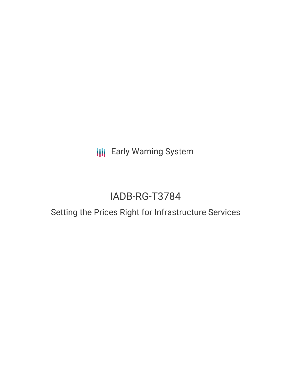**III** Early Warning System

# IADB-RG-T3784

## Setting the Prices Right for Infrastructure Services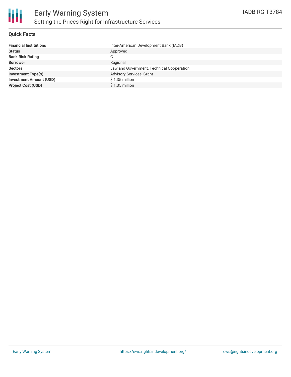

#### **Quick Facts**

| <b>Financial Institutions</b>  |
|--------------------------------|
| <b>Status</b>                  |
| <b>Bank Risk Rating</b>        |
| <b>Borrower</b>                |
| <b>Sectors</b>                 |
| <b>Investment Type(s)</b>      |
| <b>Investment Amount (USD)</b> |
| <b>Project Cost (USD)</b>      |
|                                |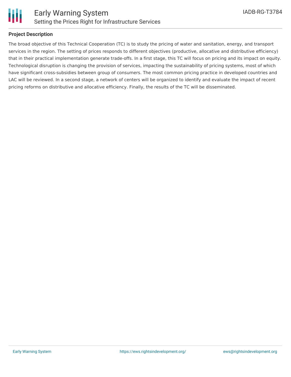

#### **Project Description**

The broad objective of this Technical Cooperation (TC) is to study the pricing of water and sanitation, energy, and transport services in the region. The setting of prices responds to different objectives (productive, allocative and distributive efficiency) that in their practical implementation generate trade-offs. In a first stage, this TC will focus on pricing and its impact on equity. Technological disruption is changing the provision of services, impacting the sustainability of pricing systems, most of which have significant cross-subsidies between group of consumers. The most common pricing practice in developed countries and LAC will be reviewed. In a second stage, a network of centers will be organized to identify and evaluate the impact of recent pricing reforms on distributive and allocative efficiency. Finally, the results of the TC will be disseminated.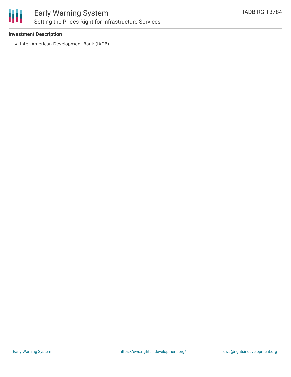

#### **Investment Description**

• Inter-American Development Bank (IADB)